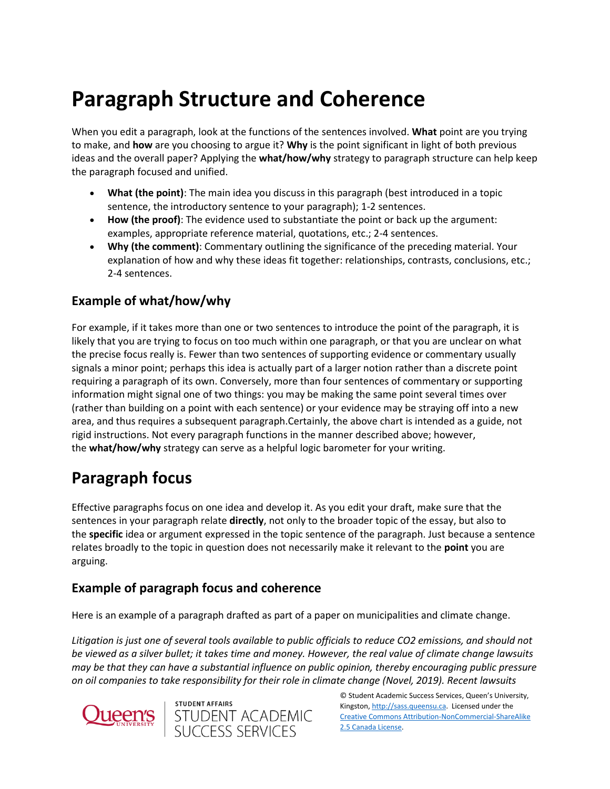# **Paragraph Structure and Coherence**

When you edit a paragraph, look at the functions of the sentences involved. **What** point are you trying to make, and **how** are you choosing to argue it? **Why** is the point significant in light of both previous ideas and the overall paper? Applying the **what/how/why** strategy to paragraph structure can help keep the paragraph focused and unified.

- **What (the point)**: The main idea you discuss in this paragraph (best introduced in a topic sentence, the introductory sentence to your paragraph); 1-2 sentences.
- **How (the proof)**: The evidence used to substantiate the point or back up the argument: examples, appropriate reference material, quotations, etc.; 2-4 sentences.
- **Why (the comment)**: Commentary outlining the significance of the preceding material. Your explanation of how and why these ideas fit together: relationships, contrasts, conclusions, etc.; 2-4 sentences.

### **Example of what/how/why**

For example, if it takes more than one or two sentences to introduce the point of the paragraph, it is likely that you are trying to focus on too much within one paragraph, or that you are unclear on what the precise focus really is. Fewer than two sentences of supporting evidence or commentary usually signals a minor point; perhaps this idea is actually part of a larger notion rather than a discrete point requiring a paragraph of its own. Conversely, more than four sentences of commentary or supporting information might signal one of two things: you may be making the same point several times over (rather than building on a point with each sentence) or your evidence may be straying off into a new area, and thus requires a subsequent paragraph.Certainly, the above chart is intended as a guide, not rigid instructions. Not every paragraph functions in the manner described above; however, the **what/how/why** strategy can serve as a helpful logic barometer for your writing.

## **Paragraph focus**

Effective paragraphs focus on one idea and develop it. As you edit your draft, make sure that the sentences in your paragraph relate **directly**, not only to the broader topic of the essay, but also to the **specific** idea or argument expressed in the topic sentence of the paragraph. Just because a sentence relates broadly to the topic in question does not necessarily make it relevant to the **point** you are arguing.

### **Example of paragraph focus and coherence**

Here is an example of a paragraph drafted as part of a paper on municipalities and climate change.

*Litigation is just one of several tools available to public officials to reduce CO2 emissions, and should not be viewed as a silver bullet; it takes time and money. However, the real value of climate change lawsuits may be that they can have a substantial influence on public opinion, thereby encouraging public pressure on oil companies to take responsibility for their role in climate change (Novel, 2019). Recent lawsuits* 





© Student Academic Success Services, Queen's University, Kingston[, http://sass.queensu.ca.](http://sass.queensu.ca/) Licensed under the [Creative Commons Attribution-NonCommercial-ShareAlike](http://creativecommons.org/licenses/by-nc-sa/2.5/ca/)  [2.5 Canada License.](http://creativecommons.org/licenses/by-nc-sa/2.5/ca/)